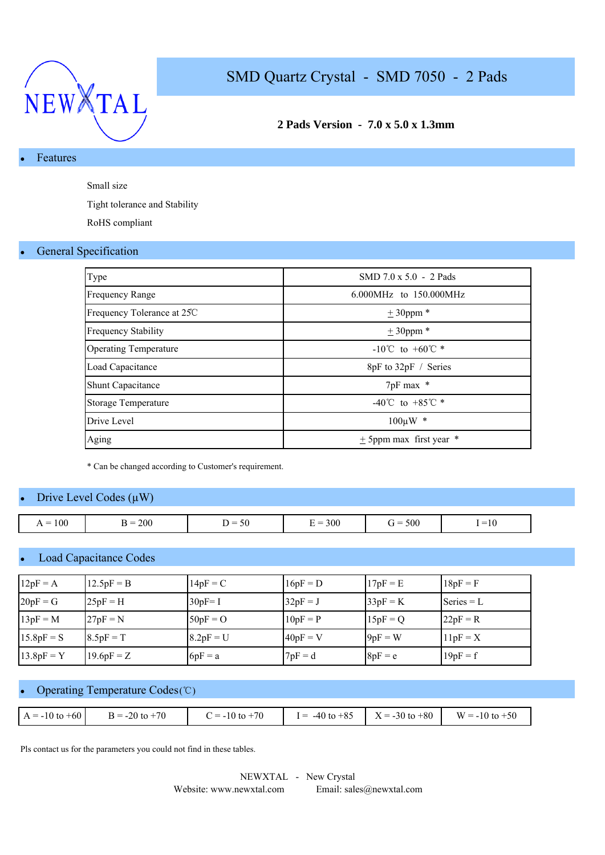

## **2 Pads Version - 7.0 x 5.0 x 1.3mm**

## **Features**

Small size

Tight tolerance and Stability

RoHS compliant

#### **General Specification**

| Type                         | SMD $7.0 \times 5.0 - 2$ Pads      |
|------------------------------|------------------------------------|
| <b>Frequency Range</b>       | 6.000MHz to 150.000MHz             |
| Frequency Tolerance at 25C   | $± 30$ ppm $*$                     |
| <b>Frequency Stability</b>   | $\pm$ 30ppm $*$                    |
| <b>Operating Temperature</b> | $-10^{\circ}$ C to $+60^{\circ}$ * |
| Load Capacitance             | 8pF to 32pF / Series               |
| <b>Shunt Capacitance</b>     | 7pF max *                          |
| <b>Storage Temperature</b>   | -40°C to +85°C $*$                 |
| Drive Level                  | $100 \mu W$ *                      |
| Aging                        | $\pm$ 5ppm max first year $*$      |

\* Can be changed according to Customer's requirement.

### Drive Level Codes  $(\mu W)$

| $= 100$<br>$\overline{\phantom{0}}$<br>$\cdot$ $\cdot$ | 200<br>$=$<br><u>.</u> | $\sim$ $\sim$<br>$\overline{\phantom{a}}$<br>50 | 300<br>-<br>$=$<br>. .<br>- | 500<br>$\dot{r} =$ | $\overline{\phantom{a}}$<br>$-10$ |
|--------------------------------------------------------|------------------------|-------------------------------------------------|-----------------------------|--------------------|-----------------------------------|

## **Load Capacitance Codes**

| $12pF = A$   | $12.5pF = B$ | $14pF = C$  | $16pF = D$ | $17pF = E$ | $18pF = F$   |
|--------------|--------------|-------------|------------|------------|--------------|
| $20pF = G$   | $25pF = H$   | $30pF = I$  | $32pF = J$ | $33pF = K$ | $Series = L$ |
| $13pF = M$   | $27pF = N$   | $50pF = O$  | $10pF = P$ | $15pF = Q$ | $22pF = R$   |
| $15.8pF = S$ | $8.5pF = T$  | $8.2pF = U$ | $40pF = V$ | $9pF = W$  | $11pF = X$   |
| $13.8pF = Y$ | $19.6pF = Z$ | $6pF = a$   | $7pF = d$  | $8pF = e$  | $19pF = f$   |

### Operating Temperature Codes (℃)

| $A = -10$ to $+60$<br>$B = -20$ to $+70$<br>$= -10$ to $+70$ | $I = -40$ to $+85$ | $X = -30$ to $+80$ | $W = -10$ to $+50$ |
|--------------------------------------------------------------|--------------------|--------------------|--------------------|
|--------------------------------------------------------------|--------------------|--------------------|--------------------|

Pls contact us for the parameters you could not find in these tables.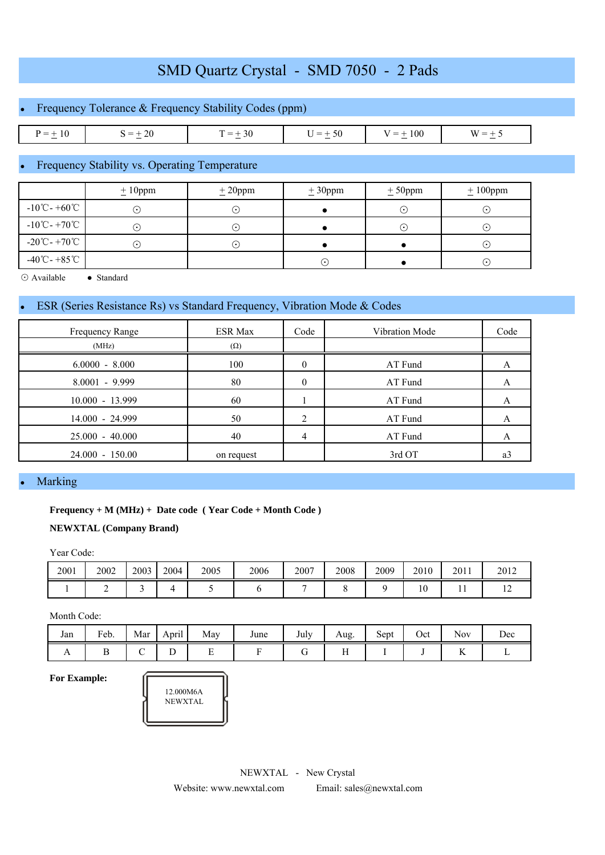## Frequency Tolerance & Frequency Stability Codes (ppm)

| 10<br>$-$<br>and the contract of the contract of | 20<br>_<br>and the contract of the contract of | $\overline{\phantom{a}}$<br>эU<br>$\sim$ | $-$<br>$\hspace{.05cm} =$<br>$\sim$ | 100<br>$\overline{\phantom{a}}$ | W<br>_<br>$\sim$ |
|--------------------------------------------------|------------------------------------------------|------------------------------------------|-------------------------------------|---------------------------------|------------------|

### Frequency Stability vs. Operating Temperature

|                                             | $\pm 10$ ppm | $± 20$ ppm                         | $\pm 30$ ppm | $± 50$ ppm | $\pm 100$ ppm |
|---------------------------------------------|--------------|------------------------------------|--------------|------------|---------------|
| $-10^{\circ}$ C - +60 $^{\circ}$ C          | $(\bullet)$  |                                    |              | $\odot$    | $(\cdot)$     |
| $-10^{\circ}$ C - +70 $^{\circ}$ C          | $(\cdot)$    | $\left\lfloor \cdot \right\rfloor$ |              | $(\cdot)$  | $(\cdot)$     |
| $-20^{\circ}\text{C} - +70^{\circ}\text{C}$ | $(\cdot)$    | $\cdot$                            |              |            | $(\cdot)$     |
| $-40^{\circ}$ C - +85 $^{\circ}$ C          |              |                                    | ( • 1        |            | $\odot$       |

⊙ Available ● Standard

## ESR (Series Resistance Rs) vs Standard Frequency, Vibration Mode & Codes

| Frequency Range   | <b>ESR Max</b> | Code     | Vibration Mode | Code      |
|-------------------|----------------|----------|----------------|-----------|
| (MHz)             | $(\Omega)$     |          |                |           |
| $6.0000 - 8.000$  | 100            | $\theta$ | AT Fund        |           |
| $8.0001 - 9.999$  | 80             | $\Omega$ | AT Fund        |           |
| $10.000 - 13.999$ | 60             |          | AT Fund        |           |
| 14.000 - 24.999   | 50             | 2        | AT Fund        |           |
| $25.000 - 40.000$ | 40             | 4        | AT Fund        | $\bigcap$ |
| $24.000 - 150.00$ | on request     |          | 3rd OT         | a3        |

#### **Marking**

#### **Frequency + M (MHz) + Date code ( Year Code + Month Code )**

#### **NEWXTAL (Company Brand)**

Year Code:

| 2001 | 2002 | 2003 | 2004 | 2005 | 2006 | 2007 | 2008 | 2009 | 2010             | 2011 | 2012 |
|------|------|------|------|------|------|------|------|------|------------------|------|------|
|      | -    |      |      |      |      |      |      |      | $\sqrt{ }$<br>ΙU | . .  | . .  |

Month Code:

| Jan            | Feb. | Mar | $\ddotsc$<br>April | May | June | July | Aug.                            | Sept | Oct | <b>Nov</b>           | Dec |
|----------------|------|-----|--------------------|-----|------|------|---------------------------------|------|-----|----------------------|-----|
| $\overline{1}$ |      |     | ∽<br>∸             |     |      | ີ    | $\sim$ $\sim$<br>$\blacksquare$ |      |     | $\sim$ $\sim$<br>Ъv. |     |

**For Example:**

| 12.000M6A<br><b>NEWXTAL</b> |
|-----------------------------|
|-----------------------------|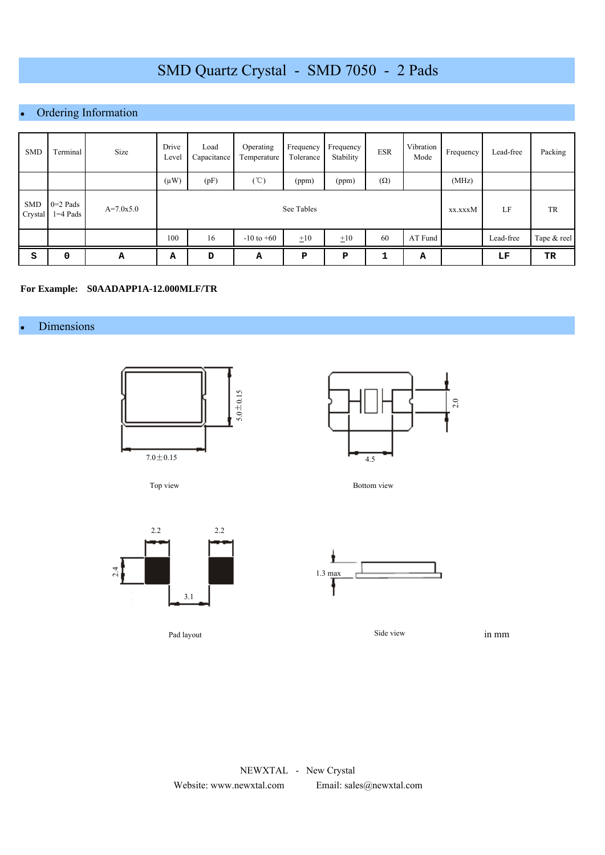## Ordering Information

| <b>SMD</b>            | Terminal                 | Size        | Drive<br>Level | Load<br>Capacitance | Operating<br>Temperature | Frequency<br>Tolerance | Frequency<br>Stability | <b>ESR</b> | Vibration<br>Mode | Frequency | Lead-free | Packing     |
|-----------------------|--------------------------|-------------|----------------|---------------------|--------------------------|------------------------|------------------------|------------|-------------------|-----------|-----------|-------------|
|                       |                          |             | $(\mu W)$      | (pF)                | (°C)                     | (ppm)                  | (ppm)                  | $(\Omega)$ |                   | (MHz)     |           |             |
| <b>SMD</b><br>Crystal | $0=2$ Pads<br>$1=4$ Pads | $A=7.0x5.0$ |                |                     | See Tables               | xx.xxxM                | LF                     | TR         |                   |           |           |             |
|                       |                          |             | 100            | 16                  | $-10$ to $+60$           | $\pm 10$               | $\pm 10$               | 60         | AT Fund           |           | Lead-free | Tape & reel |
| s                     | 0                        | A           | А              | D                   | А                        | P                      | P                      | ٠          | А                 |           | LF        | TR          |

#### **For Example: S0AADAPP1A-12.000MLF/TR**

#### • Dimensions



Top view



Bottom view



Pad layout



Side view

in mm